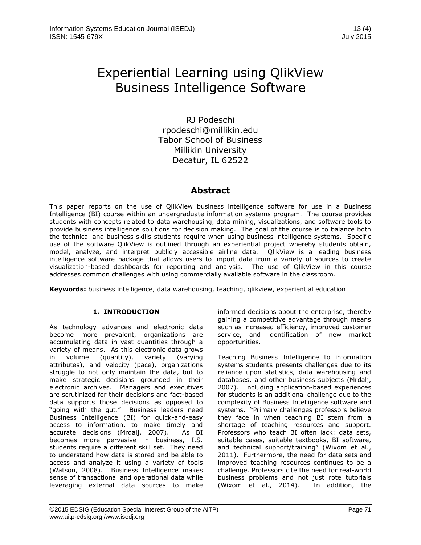# Experiential Learning using QlikView Business Intelligence Software

RJ Podeschi rpodeschi@millikin.edu Tabor School of Business Millikin University Decatur, IL 62522

### **Abstract**

This paper reports on the use of QlikView business intelligence software for use in a Business Intelligence (BI) course within an undergraduate information systems program. The course provides students with concepts related to data warehousing, data mining, visualizations, and software tools to provide business intelligence solutions for decision making. The goal of the course is to balance both the technical and business skills students require when using business intelligence systems. Specific use of the software QlikView is outlined through an experiential project whereby students obtain, model, analyze, and interpret publicly accessible airline data. QlikView is a leading business intelligence software package that allows users to import data from a variety of sources to create visualization-based dashboards for reporting and analysis. The use of QlikView in this course addresses common challenges with using commercially available software in the classroom.

**Keywords:** business intelligence, data warehousing, teaching, qlikview, experiential education

#### **1. INTRODUCTION**

As technology advances and electronic data become more prevalent, organizations are accumulating data in vast quantities through a variety of means. As this electronic data grows in volume (quantity), variety (varying attributes), and velocity (pace), organizations struggle to not only maintain the data, but to make strategic decisions grounded in their electronic archives. Managers and executives are scrutinized for their decisions and fact-based data supports those decisions as opposed to "going with the gut." Business leaders need Business Intelligence (BI) for quick-and-easy access to information, to make timely and accurate decisions (Mrdalj, 2007). As BI becomes more pervasive in business, I.S. students require a different skill set. They need to understand how data is stored and be able to access and analyze it using a variety of tools (Watson, 2008). Business Intelligence makes sense of transactional and operational data while leveraging external data sources to make

informed decisions about the enterprise, thereby gaining a competitive advantage through means such as increased efficiency, improved customer service, and identification of new market opportunities.

Teaching Business Intelligence to information systems students presents challenges due to its reliance upon statistics, data warehousing and databases, and other business subjects (Mrdalj, 2007). Including application-based experiences for students is an additional challenge due to the complexity of Business Intelligence software and systems. "Primary challenges professors believe they face in when teaching BI stem from a shortage of teaching resources and support. Professors who teach BI often lack: data sets, suitable cases, suitable textbooks, BI software, and technical support/training" (Wixom et al., 2011). Furthermore, the need for data sets and improved teaching resources continues to be a challenge. Professors cite the need for real-world business problems and not just rote tutorials (Wixom et al., 2014). In addition, the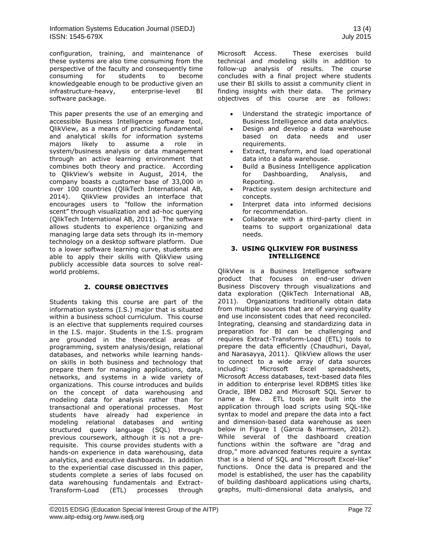configuration, training, and maintenance of these systems are also time consuming from the perspective of the faculty and consequently time consuming for students to become knowledgeable enough to be productive given an infrastructure-heavy, enterprise-level BI software package.

This paper presents the use of an emerging and accessible Business Intelligence software tool, QlikView, as a means of practicing fundamental and analytical skills for information systems majors likely to assume a role in system/business analysis or data management through an active learning environment that combines both theory and practice. According to QlikView's website in August, 2014, the company boasts a customer base of 33,000 in over 100 countries (QlikTech International AB, 2014). QlikView provides an interface that encourages users to "follow the information scent" through visualization and ad-hoc querying (QlikTech International AB, 2011). The software allows students to experience organizing and managing large data sets through its in-memory technology on a desktop software platform. Due to a lower software learning curve, students are able to apply their skills with QlikView using publicly accessible data sources to solve realworld problems.

#### **2. COURSE OBJECTIVES**

Students taking this course are part of the information systems (I.S.) major that is situated within a business school curriculum. This course is an elective that supplements required courses in the I.S. major. Students in the I.S. program are grounded in the theoretical areas of programming, system analysis/design, relational databases, and networks while learning handson skills in both business and technology that prepare them for managing applications, data, networks, and systems in a wide variety of organizations. This course introduces and builds on the concept of data warehousing and modeling data for analysis rather than for transactional and operational processes. Most students have already had experience in modeling relational databases and writing structured query language (SQL) through previous coursework, although it is not a prerequisite. This course provides students with a hands-on experience in data warehousing, data analytics, and executive dashboards. In addition to the experiential case discussed in this paper, students complete a series of labs focused on data warehousing fundamentals and Extract-Transform-Load (ETL) processes through

Microsoft Access. These exercises build technical and modeling skills in addition to follow-up analysis of results. The course concludes with a final project where students use their BI skills to assist a community client in finding insights with their data. The primary objectives of this course are as follows:

- Understand the strategic importance of Business Intelligence and data analytics.
- Design and develop a data warehouse based on data needs and user requirements.
- Extract, transform, and load operational data into a data warehouse.
- Build a Business Intelligence application for Dashboarding, Analysis, and Reporting.
- Practice system design architecture and concepts.
- Interpret data into informed decisions for recommendation.
- Collaborate with a third-party client in teams to support organizational data needs.

#### **3. USING QLIKVIEW FOR BUSINESS INTELLIGENCE**

QlikView is a Business Intelligence software product that focuses on end-user driven Business Discovery through visualizations and data exploration (QlikTech International AB, 2011). Organizations traditionally obtain data from multiple sources that are of varying quality and use inconsistent codes that need reconciled. Integrating, cleansing and standardizing data in preparation for BI can be challenging and requires Extract-Transform-Load (ETL) tools to prepare the data efficiently (Chaudhuri, Dayal, and Narasayya, 2011). QlikView allows the user to connect to a wide array of data sources including: Microsoft Excel spreadsheets, Microsoft Access databases, text-based data files in addition to enterprise level RDBMS titles like Oracle, IBM DB2 and Microsoft SQL Server to name a few. ETL tools are built into the application through load scripts using SQL-like syntax to model and prepare the data into a fact and dimension-based data warehouse as seen below in Figure 1 (Garcia & Harmsen, 2012). While several of the dashboard creation functions within the software are "drag and drop," more advanced features require a syntax that is a blend of SQL and "Microsoft Excel-like" functions. Once the data is prepared and the model is established, the user has the capability of building dashboard applications using charts, graphs, multi-dimensional data analysis, and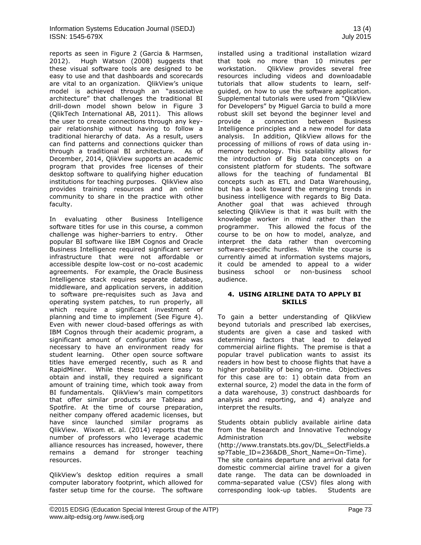reports as seen in Figure 2 (Garcia & Harmsen, 2012). Hugh Watson (2008) suggests that these visual software tools are designed to be easy to use and that dashboards and scorecards are vital to an organization. QlikView's unique model is achieved through an "associative architecture" that challenges the traditional BI drill-down model shown below in Figure 3 (QlikTech International AB, 2011). This allows the user to create connections through any keypair relationship without having to follow a traditional hierarchy of data. As a result, users can find patterns and connections quicker than through a traditional BI architecture. As of December, 2014, QlikView supports an academic program that provides free licenses of their desktop software to qualifying higher education institutions for teaching purposes. QlikView also provides training resources and an online community to share in the practice with other faculty.

In evaluating other Business Intelligence software titles for use in this course, a common challenge was higher-barriers to entry. Other popular BI software like IBM Cognos and Oracle Business Intelligence required significant server infrastructure that were not affordable or accessible despite low-cost or no-cost academic agreements. For example, the Oracle Business Intelligence stack requires separate database, middleware, and application servers, in addition to software pre-requisites such as Java and operating system patches, to run properly, all which require a significant investment of planning and time to implement (See Figure 4). Even with newer cloud-based offerings as with IBM Cognos through their academic program, a significant amount of configuration time was necessary to have an environment ready for student learning. Other open source software titles have emerged recently, such as R and RapidMiner. While these tools were easy to obtain and install, they required a significant amount of training time, which took away from BI fundamentals. QlikView's main competitors that offer similar products are Tableau and Spotfire. At the time of course preparation, neither company offered academic licenses, but have since launched similar programs as QlikView. Wixom et. al. (2014) reports that the number of professors who leverage academic alliance resources has increased, however, there remains a demand for stronger teaching resources.

QlikView's desktop edition requires a small computer laboratory footprint, which allowed for faster setup time for the course. The software installed using a traditional installation wizard that took no more than 10 minutes per workstation. QlikView provides several free resources including videos and downloadable tutorials that allow students to learn, selfguided, on how to use the software application. Supplemental tutorials were used from "QlikView for Developers" by Miguel Garcia to build a more robust skill set beyond the beginner level and provide a connection between Business Intelligence principles and a new model for data analysis. In addition, QlikView allows for the processing of millions of rows of data using inmemory technology. This scalability allows for the introduction of Big Data concepts on a consistent platform for students. The software allows for the teaching of fundamental BI concepts such as ETL and Data Warehousing, but has a look toward the emerging trends in business intelligence with regards to Big Data. Another goal that was achieved through selecting QlikView is that it was built with the knowledge worker in mind rather than the programmer. This allowed the focus of the course to be on how to model, analyze, and interpret the data rather than overcoming software-specific hurdles. While the course is currently aimed at information systems majors, it could be amended to appeal to a wider business school or non-business school audience.

#### **4. USING AIRLINE DATA TO APPLY BI SKILLS**

To gain a better understanding of QlikView beyond tutorials and prescribed lab exercises, students are given a case and tasked with determining factors that lead to delayed commercial airline flights. The premise is that a popular travel publication wants to assist its readers in how best to choose flights that have a higher probability of being on-time. Objectives for this case are to: 1) obtain data from an external source, 2) model the data in the form of a data warehouse, 3) construct dashboards for analysis and reporting, and 4) analyze and interpret the results.

Students obtain publicly available airline data from the Research and Innovative Technology Administration website (http://www.transtats.bts.gov/DL\_SelectFields.a sp?Table\_ID=236&DB\_Short\_Name=On-Time). The site contains departure and arrival data for domestic commercial airline travel for a given date range. The data can be downloaded in comma-separated value (CSV) files along with corresponding look-up tables. Students are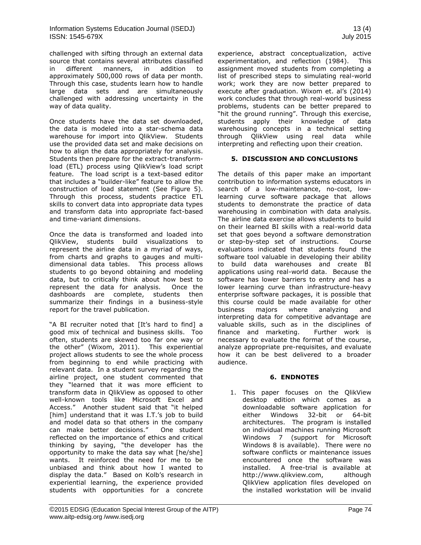challenged with sifting through an external data source that contains several attributes classified in different manners, in addition to approximately 500,000 rows of data per month. Through this case, students learn how to handle large data sets and are simultaneously challenged with addressing uncertainty in the way of data quality.

Once students have the data set downloaded, the data is modeled into a star-schema data warehouse for import into QlikView. Students use the provided data set and make decisions on how to align the data appropriately for analysis. Students then prepare for the extract-transformload (ETL) process using QlikView's load script feature. The load script is a text-based editor that includes a "builder-like" feature to allow the construction of load statement (See Figure 5). Through this process, students practice ETL skills to convert data into appropriate data types and transform data into appropriate fact-based and time-variant dimensions.

Once the data is transformed and loaded into QlikView, students build visualizations to represent the airline data in a myriad of ways, from charts and graphs to gauges and multidimensional data tables. This process allows students to go beyond obtaining and modeling data, but to critically think about how best to represent the data for analysis. Once the dashboards are complete, students then summarize their findings in a business-style report for the travel publication.

"A BI recruiter noted that [It's hard to find] a good mix of technical and business skills. Too often, students are skewed too far one way or the other" (Wixom, 2011). This experiential project allows students to see the whole process from beginning to end while practicing with relevant data. In a student survey regarding the airline project, one student commented that they "learned that it was more efficient to transform data in QlikView as opposed to other well-known tools like Microsoft Excel and Access." Another student said that "it helped [him] understand that it was I.T.'s job to build and model data so that others in the company can make better decisions." One student reflected on the importance of ethics and critical thinking by saying, "the developer has the opportunity to make the data say what [he/she] wants. It reinforced the need for me to be unbiased and think about how I wanted to display the data." Based on Kolb's research in experiential learning, the experience provided students with opportunities for a concrete

experience, abstract conceptualization, active experimentation, and reflection (1984). This assignment moved students from completing a list of prescribed steps to simulating real-world work; work they are now better prepared to execute after graduation. Wixom et. al's (2014) work concludes that through real-world business problems, students can be better prepared to "hit the ground running". Through this exercise, students apply their knowledge of data warehousing concepts in a technical setting through QlikView using real data while interpreting and reflecting upon their creation.

#### **5. DISCUSSION AND CONCLUSIONS**

The details of this paper make an important contribution to information systems educators in search of a low-maintenance, no-cost, lowlearning curve software package that allows students to demonstrate the practice of data warehousing in combination with data analysis. The airline data exercise allows students to build on their learned BI skills with a real-world data set that goes beyond a software demonstration or step-by-step set of instructions. Course evaluations indicated that students found the software tool valuable in developing their ability to build data warehouses and create BI applications using real-world data. Because the software has lower barriers to entry and has a lower learning curve than infrastructure-heavy enterprise software packages, it is possible that this course could be made available for other business majors where analyzing and interpreting data for competitive advantage are valuable skills, such as in the disciplines of finance and marketing. Further work is necessary to evaluate the format of the course, analyze appropriate pre-requisites, and evaluate how it can be best delivered to a broader audience.

#### **6. ENDNOTES**

1. This paper focuses on the QlikView desktop edition which comes as a downloadable software application for either Windows 32-bit or 64-bit architectures. The program is installed on individual machines running Microsoft Windows 7 (support for Microsoft Windows 8 is available). There were no software conflicts or maintenance issues encountered once the software was installed. A free-trial is available at http://www.qlikview.com, although QlikView application files developed on the installed workstation will be invalid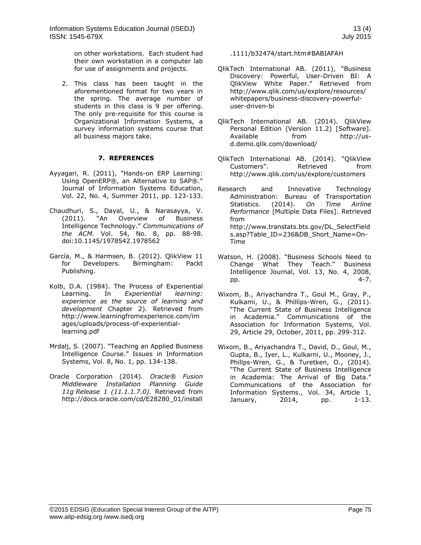on other workstations. Each student had their own workstation in a computer lab for use of assignments and projects.

2. This class has been taught in the aforementioned format for two years in the spring. The average number of students in this class is 9 per offering. The only pre-requisite for this course is Organizational Information Systems, a survey information systems course that all business majors take.

#### **7. REFERENCES**

- Ayyagari, R. (2011), "Hands-on ERP Learning: Using OpenERP®, an Alternative to SAP®." Journal of Information Systems Education, Vol. 22, No. 4, Summer 2011, pp. 123-133.
- Chaudhuri, S., Dayal, U., & Narasayya, V. (2011). "An Overview of Business Intelligence Technology." *Communications of the ACM.* Vol. 54, No. 8, pp. 88-98. doi:10.1145/1978542.1978562
- [García, M., & Harmsen, B. \(2012\). QlikView 11](http://www.bibme.org/)  [for Developers. Birmingham: Packt](http://www.bibme.org/)  [Publ](http://www.bibme.org/)ishing.
- Kolb, D.A. (1984). The Process of Experiential Learning. In *Experiential learning: experience as the source of learning and development* Chapter 2). Retrieved from http://www.learningfromexperience.com/im ages/uploads/process-of-experientiallearning.pdf
- Mrdalj, S. (2007). "Teaching an Applied Business Intelligence Course." Issues in Information Systems, Vol. 8, No. 1, pp. 134-138.
- Oracle Corporation (2014). *Oracle® Fusion Middleware Installation Planning Guide 11g Release 1 (11.1.1.7.0).* Retrieved from http://docs.oracle.com/cd/E28280\_01/install

.1111/b32474/start.htm#BABIAFAH

- QlikTech International AB. (2011), "Business Discovery: Powerful, User-Driven BI: A QlikView White Paper." Retrieved from http://www.qlik.com/us/explore/resources/ whitepapers/business-discovery-powerfuluser-driven-bi
- QlikTech International AB. (2014). QlikView Personal Edition (Version 11.2) [Software]. Available from http://usd.demo.qlik.com/download/
- QlikTech International AB. (2014). "QlikView Customers". Retrieved from http://www.qlik.com/us/explore/customers
- Research and Innovative Technology Administration: Bureau of Transportation Statistics. (2014). *On Time Airline Performance* [Multiple Data Files]. Retrieved from http://www.transtats.bts.gov/DL\_SelectField s.asp?Table\_ID=236&DB\_Short\_Name=On-Time
- Watson, H. (2008). "Business Schools Need to Change What They Teach." Business Intelligence Journal, Vol. 13, No. 4, 2008, pp. 4-7.
- Wixom, B., Ariyachandra T., Goul M., Gray, P., Kulkami, U., & Phillips-Wren, G., (2011). "The Current State of Business Intelligence in Academia." Communications of the Association for Information Systems, Vol. 29, Article 29, October, 2011, pp. 299-312.
- Wixom, B., Ariyachandra T., David, D., Goul, M., Gupta, B., Iyer, L., Kulkarni, U., Mooney, J., Phillps-Wren, G., & Turetken, O., (2014). "The Current State of Business Intelligence in Academia: The Arrival of Big Data." Communications of the Association for Information Systems., Vol. 34, Article 1, January, 2014, pp. 1-13.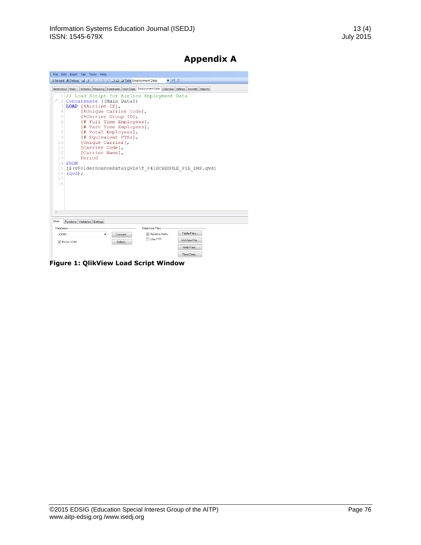# **Appendix A**

|                          |                  | File Edit Insert Tab Tools Help                     |         |                                            |                                                                                                          |
|--------------------------|------------------|-----------------------------------------------------|---------|--------------------------------------------|----------------------------------------------------------------------------------------------------------|
|                          |                  | D Reload ※Debug 日日 18 日出口口口口 M Tabs Employment Data |         | 一喝品                                        |                                                                                                          |
|                          | Information Main |                                                     |         |                                            | Includes   Mapping   Comments   Main Data   Employment Data   Calendar   Airlines   Aircrafts   Airports |
| 1                        |                  |                                                     |         | // Load Script for Airline Employment Data |                                                                                                          |
|                          |                  | Concatenate ([Main Data])                           |         |                                            |                                                                                                          |
| 3.                       |                  | LOAD [%Airline ID],                                 |         |                                            |                                                                                                          |
| 4                        |                  | [%Unique Carrier Code],                             |         |                                            |                                                                                                          |
| 5                        |                  | [%Carrier Group ID],                                |         |                                            |                                                                                                          |
| 6                        |                  | [# Full Time Employees],                            |         |                                            |                                                                                                          |
| 7                        |                  | [# Part Time Employees],                            |         |                                            |                                                                                                          |
| 8                        |                  | [# Total Employees],                                |         |                                            |                                                                                                          |
| 9<br>10                  |                  | [# Equivalent FTEs],<br>[Unique Carrier],           |         |                                            |                                                                                                          |
| 11                       |                  | [Carrier Code],                                     |         |                                            |                                                                                                          |
| 12                       |                  | [Carrier Name],                                     |         |                                            |                                                                                                          |
| 13                       |                  | Period                                              |         |                                            |                                                                                                          |
|                          | $14$ FROM        |                                                     |         |                                            |                                                                                                          |
| 15                       |                  |                                                     |         |                                            | [\$(vFolderSourceData)QVDs\T F41SCHEDULE P1A EMP.qvd]                                                    |
| 16                       | $(qvd)$ ;        |                                                     |         |                                            |                                                                                                          |
| 17                       |                  |                                                     |         |                                            |                                                                                                          |
| 18                       |                  |                                                     |         |                                            |                                                                                                          |
|                          |                  |                                                     |         |                                            |                                                                                                          |
|                          |                  |                                                     |         |                                            |                                                                                                          |
|                          |                  |                                                     |         |                                            |                                                                                                          |
|                          |                  |                                                     |         |                                            |                                                                                                          |
| $\overline{\mathcal{A}}$ |                  |                                                     |         |                                            |                                                                                                          |
| Data.                    |                  | Functions Variables Settings                        |         |                                            |                                                                                                          |
|                          |                  |                                                     |         |                                            |                                                                                                          |
| Database                 |                  |                                                     |         | Data from Files                            | Table Files                                                                                              |
|                          |                  |                                                     | Connect | ✔ Relative Paths                           |                                                                                                          |
| ODBC                     |                  |                                                     |         | Use FTP                                    | OlikView File                                                                                            |
|                          | ▼ Force 32 Bit   |                                                     | Select  |                                            |                                                                                                          |
|                          |                  |                                                     |         |                                            | Web Files                                                                                                |
|                          |                  |                                                     |         |                                            | Field Data                                                                                               |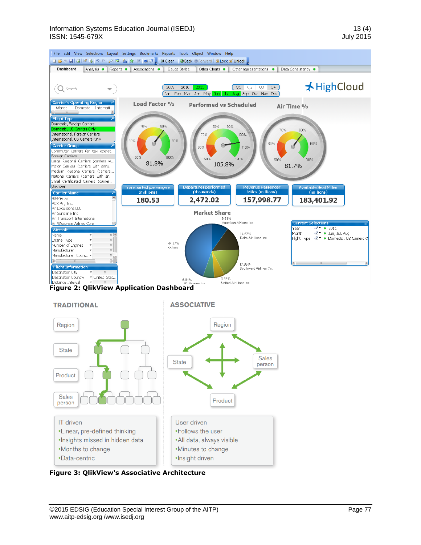

**Figure 3: QlikView's Associative Architecture**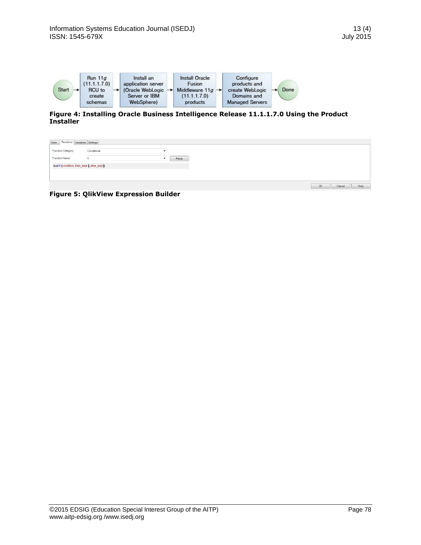

**Figure 4: Installing Oracle Business Intelligence Release 11.1.1.7.0 Using the Product Installer**

| Functions Variables Settings<br>Data         |             |       |                             |  |  |  |  |  |
|----------------------------------------------|-------------|-------|-----------------------------|--|--|--|--|--|
|                                              |             |       |                             |  |  |  |  |  |
| Function Category                            | Conditional |       |                             |  |  |  |  |  |
| Function Name                                |             | Paste |                             |  |  |  |  |  |
| dual If (condition, then_expr [, else_expr]) |             |       |                             |  |  |  |  |  |
|                                              |             |       |                             |  |  |  |  |  |
|                                              |             |       |                             |  |  |  |  |  |
|                                              |             |       |                             |  |  |  |  |  |
|                                              |             |       | <b>OK</b><br>Help<br>Cancel |  |  |  |  |  |

**Figure 5: QlikView Expression Builder**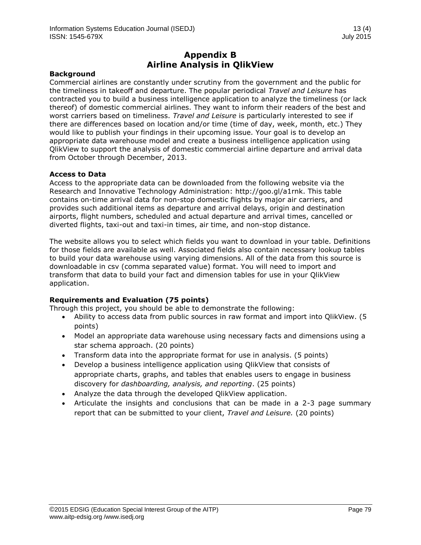## **Appendix B Airline Analysis in QlikView**

#### **Background**

Commercial airlines are constantly under scrutiny from the government and the public for the timeliness in takeoff and departure. The popular periodical *Travel and Leisure* has contracted you to build a business intelligence application to analyze the timeliness (or lack thereof) of domestic commercial airlines. They want to inform their readers of the best and worst carriers based on timeliness. *Travel and Leisure* is particularly interested to see if there are differences based on location and/or time (time of day, week, month, etc.) They would like to publish your findings in their upcoming issue. Your goal is to develop an appropriate data warehouse model and create a business intelligence application using QlikView to support the analysis of domestic commercial airline departure and arrival data from October through December, 2013.

#### **Access to Data**

Access to the appropriate data can be downloaded from the following website via the Research and Innovative Technology Administration: http://goo.gl/a1rnk. This table contains on-time arrival data for non-stop domestic flights by major air carriers, and provides such additional items as departure and arrival delays, origin and destination airports, flight numbers, scheduled and actual departure and arrival times, cancelled or diverted flights, taxi-out and taxi-in times, air time, and non-stop distance.

The website allows you to select which fields you want to download in your table. Definitions for those fields are available as well. Associated fields also contain necessary lookup tables to build your data warehouse using varying dimensions. All of the data from this source is downloadable in csv (comma separated value) format. You will need to import and transform that data to build your fact and dimension tables for use in your QlikView application.

#### **Requirements and Evaluation (75 points)**

Through this project, you should be able to demonstrate the following:

- Ability to access data from public sources in raw format and import into QlikView. (5 points)
- Model an appropriate data warehouse using necessary facts and dimensions using a star schema approach. (20 points)
- Transform data into the appropriate format for use in analysis. (5 points)
- Develop a business intelligence application using QlikView that consists of appropriate charts, graphs, and tables that enables users to engage in business discovery for *dashboarding, analysis, and reporting*. (25 points)
- Analyze the data through the developed QlikView application.
- Articulate the insights and conclusions that can be made in a 2-3 page summary report that can be submitted to your client, *Travel and Leisure.* (20 points)